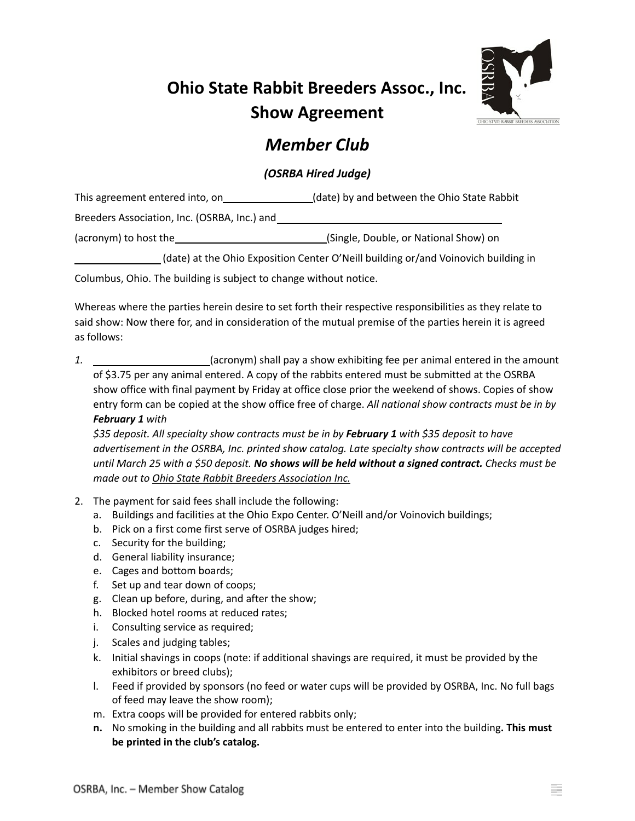## **Ohio State Rabbit Breeders Assoc., Inc. Show Agreement**



## *Member Club*

## *(OSRBA Hired Judge)*

| This agreement entered into, on | (date) by and between the Ohio State Rabbit |
|---------------------------------|---------------------------------------------|
|                                 |                                             |

Breeders Association, Inc. (OSRBA, Inc.) and

(acronym) to host the (Single, Double, or National Show) on

(date) at the Ohio Exposition Center O'Neill building or/and Voinovich building in

Columbus, Ohio. The building is subject to change without notice.

Whereas where the parties herein desire to set forth their respective responsibilities as they relate to said show: Now there for, and in consideration of the mutual premise of the parties herein it is agreed as follows:

*1.* (acronym) shall pay a show exhibiting fee per animal entered in the amount of \$3.75 per any animal entered. A copy of the rabbits entered must be submitted at the OSRBA show office with final payment by Friday at office close prior the weekend of shows. Copies of show entry form can be copied at the show office free of charge. *All national show contracts must be in by February 1 with*

*\$35 deposit. All specialty show contracts must be in by February 1 with \$35 deposit to have advertisement in the OSRBA, Inc. printed show catalog. Late specialty show contracts will be accepted* until March 25 with a \$50 deposit. No shows will be held without a signed contract. Checks must be *made out to Ohio State Rabbit Breeders Association Inc.*

- 2. The payment for said fees shall include the following:
	- a. Buildings and facilities at the Ohio Expo Center. O'Neill and/or Voinovich buildings;
	- b. Pick on a first come first serve of OSRBA judges hired;
	- c. Security for the building;
	- d. General liability insurance;
	- e. Cages and bottom boards;
	- f. Set up and tear down of coops;
	- g. Clean up before, during, and after the show;
	- h. Blocked hotel rooms at reduced rates;
	- i. Consulting service as required;
	- j. Scales and judging tables;
	- k. Initial shavings in coops (note: if additional shavings are required, it must be provided by the exhibitors or breed clubs);
	- l. Feed if provided by sponsors (no feed or water cups will be provided by OSRBA, Inc. No full bags of feed may leave the show room);
	- m. Extra coops will be provided for entered rabbits only;
	- **n.** No smoking in the building and all rabbits must be entered to enter into the building**. This must be printed in the club's catalog.**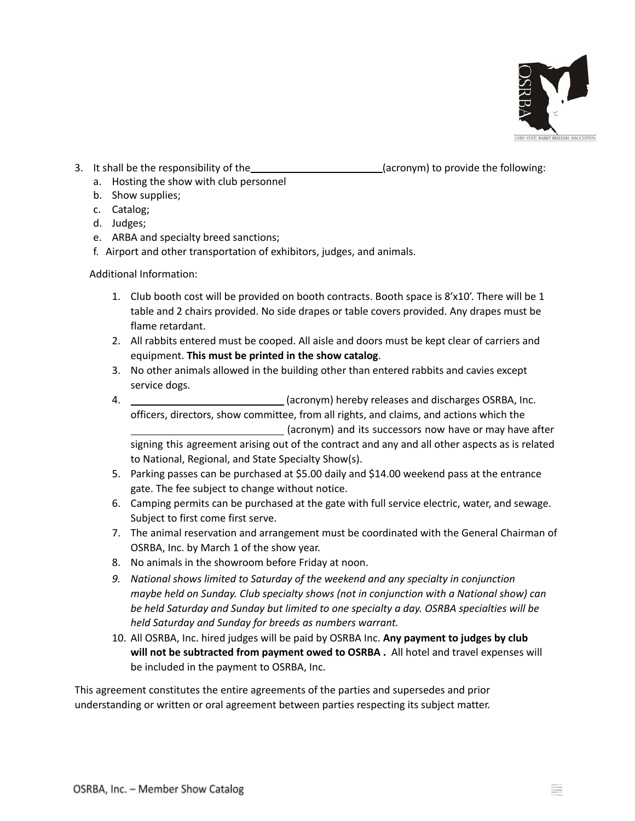

- 3. It shall be the responsibility of the \_\_\_\_\_\_\_\_\_\_\_\_\_\_\_\_\_\_\_\_\_\_\_\_\_(acronym) to provide the following:
- 

- a. Hosting the show with club personnel
- b. Show supplies;
- c. Catalog;
- d. Judges;
- e. ARBA and specialty breed sanctions;
- f. Airport and other transportation of exhibitors, judges, and animals.

Additional Information:

- 1. Club booth cost will be provided on booth contracts. Booth space is 8'x10'. There will be 1 table and 2 chairs provided. No side drapes or table covers provided. Any drapes must be flame retardant.
- 2. All rabbits entered must be cooped. All aisle and doors must be kept clear of carriers and equipment. **This must be printed in the show catalog**.
- 3. No other animals allowed in the building other than entered rabbits and cavies except service dogs.
- 4. (acronym) hereby releases and discharges OSRBA, Inc. officers, directors, show committee, from all rights, and claims, and actions which the (acronym) and its successors now have or may have after signing this agreement arising out of the contract and any and all other aspects as is related to National, Regional, and State Specialty Show(s).
- 5. Parking passes can be purchased at \$5.00 daily and \$14.00 weekend pass at the entrance gate. The fee subject to change without notice.
- 6. Camping permits can be purchased at the gate with full service electric, water, and sewage. Subject to first come first serve.
- 7. The animal reservation and arrangement must be coordinated with the General Chairman of OSRBA, Inc. by March 1 of the show year.
- 8. No animals in the showroom before Friday at noon.
- *9. National shows limited to Saturday of the weekend and any specialty in conjunction maybe held on Sunday. Club specialty shows (not in conjunction with a National show) can be held Saturday and Sunday but limited to one specialty a day. OSRBA specialties will be held Saturday and Sunday for breeds as numbers warrant.*
- 10. All OSRBA, Inc. hired judges will be paid by OSRBA Inc. **Any payment to judges by club will not be subtracted from payment owed to OSRBA .** All hotel and travel expenses will be included in the payment to OSRBA, Inc.

This agreement constitutes the entire agreements of the parties and supersedes and prior understanding or written or oral agreement between parties respecting its subject matter.